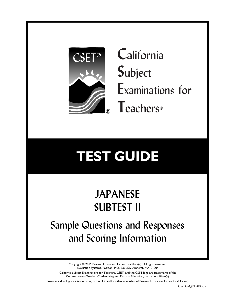

**C**alifornia **S**ubject **E**xaminations for **T**eachers®

# **TEST GUIDE**

# **JAPANESE SUBTEST II**

Sample Questions and Responses and Scoring Information

> Copyright © 2015 Pearson Education, Inc. or its affiliate(s). All rights reserved. Evaluation Systems, Pearson, P.O. Box 226, Amherst, MA 01004

California Subject Examinations for Teachers, CSET, and the CSET logo are trademarks of the Commission on Teacher Credentialing and Pearson Education, Inc. or its affiliate(s).

Pearson and its logo are trademarks, in the U.S. and/or other countries, of Pearson Education, Inc. or its affiliate(s).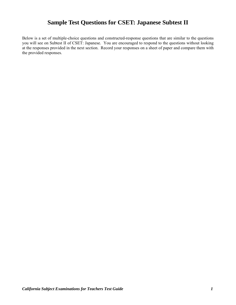# **Sample Test Questions for CSET: Japanese Subtest II**

Below is a set of multiple-choice questions and constructed-response questions that are similar to the questions you will see on Subtest II of CSET: Japanese. You are encouraged to respond to the questions without looking at the responses provided in the next section. Record your responses on a sheet of paper and compare them with the provided responses.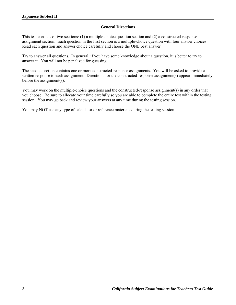#### **General Directions**

This test consists of two sections: (1) a multiple-choice question section and (2) a constructed-response assignment section. Each question in the first section is a multiple-choice question with four answer choices. Read each question and answer choice carefully and choose the ONE best answer.

Try to answer all questions. In general, if you have some knowledge about a question, it is better to try to answer it. You will not be penalized for guessing.

The second section contains one or more constructed-response assignments. You will be asked to provide a written response to each assignment. Directions for the constructed-response assignment(s) appear immediately before the assignment(s).

You may work on the multiple-choice questions and the constructed-response assignment(s) in any order that you choose. Be sure to allocate your time carefully so you are able to complete the entire test within the testing session. You may go back and review your answers at any time during the testing session.

You may NOT use any type of calculator or reference materials during the testing session.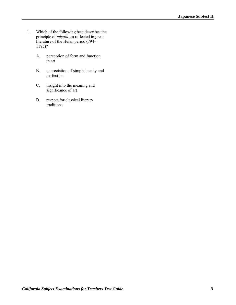- 1. Which of the following best describes the principle of *miyabi*, as reflected in great literature of the Heian period (794– 1185)?
	- A. perception of form and function in art
	- B. appreciation of simple beauty and perfection
	- C. insight into the meaning and significance of art
	- D. respect for classical literary traditions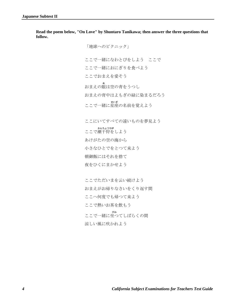**Read the poem below, "On Love" by Shuntaro Tanikawa; then answer the three questions that follow.** 

> 「地球へのピクニック」 ここで一緒になわとびをしよう ここで ここで一緒におにぎりを食べよう ここでおまえを愛そう おまえの め 眼は空の青をうつし おまえの背中はよもぎの緑に染まるだろう **ここで一緒に星座の名前を覚えよう** ここにいてすべての遠いものを夢見よう 、 かんちょうひが<br>ここで潮干狩をしよう あけがたの空の海から 小さなひとでをとつて来よう 朝御飯にはそれを捨て 夜をひくにまかせよう

ここでただいまを云い続けよう おまえがお帰りなさいをくり返す間 ここへ何度でも帰つて来よう ここで熱いお茶を飲もう **ここで一緒に坐つてしばらくの間** 涼しい風に吹かれよう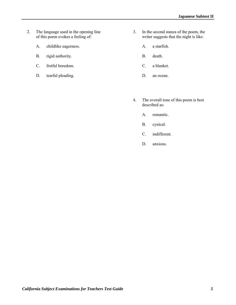- 2. The language used in the opening line of this poem evokes a feeling of:
	- A. childlike eagerness.
	- B. rigid authority.
	- C. fretful boredom.
	- D. tearful pleading.
- 3. In the second stanza of the poem, the writer suggests that the night is like:
	- A. a starfish.
	- B. death.
	- C. a blanket.
	- D. an ocean.
- 4. The overall tone of this poem is best described as:
	- A. romantic.
	- B. cynical.
	- C. indifferent.
	- D. anxious.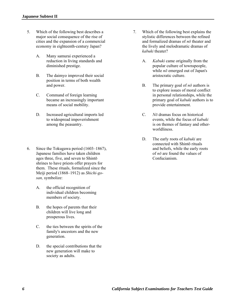- 5. Which of the following best describes a major social consequence of the rise of cities and the expansion of a commercial economy in eighteenth-century Japan?
	- A. Many samurai experienced a reduction in living standards and diminished prestige.
	- B. The daimyo improved their social position in terms of both wealth and power.
	- C. Command of foreign learning became an increasingly important means of social mobility.
	- D. Increased agricultural imports led to widespread impoverishment among the peasantry.
- 6. Since the Tokugawa period (1603–1867), Japanese families have taken children ages three, five, and seven to Shintō shrines to have priests offer prayers for them. These rituals, formalized since the Meiji period (1868–1912) as *Shichi-gosan,* symbolize:
	- A. the official recognition of individual children becoming members of society.
	- B. the hopes of parents that their children will live long and prosperous lives.
	- C. the ties between the spirits of the family's ancestors and the new generation.
	- D. the special contributions that the new generation will make to society as adults.
- 7. Which of the following best explains the stylistic differences between the refined and formalized dramas of *nō* theater and the lively and melodramatic dramas of *kabuki* theater?
	- A. *Kabuki* came originally from the popular culture of townspeople, while *nō* emerged out of Japan's aristocratic culture.
	- B. The primary goal of *nō* authors is to explore issues of moral conflict in personal relationships, while the primary goal of *kabuki* authors is to provide entertainment.
	- C. *Nō* dramas focus on historical events, while the focus of *kabuki* is on themes of fantasy and otherworldliness.
	- D. The early roots of *kabuki* are connected with Shintō rituals and beliefs, while the early roots of *nō* are found the values of Confucianism.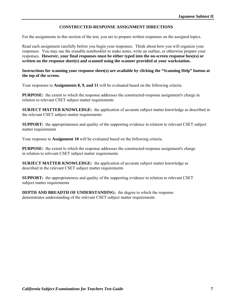## **CONSTRUCTED-RESPONSE ASSIGNMENT DIRECTIONS**

For the assignments in this section of the test, you are to prepare written responses on the assigned topics.

Read each assignment carefully before you begin your responses. Think about how you will organize your responses. You may use the erasable notebooklet to make notes, write an outline, or otherwise prepare your responses. **However, your final responses must be either typed into the on-screen response box(es) or written on the response sheet(s) and scanned using the scanner provided at your workstation.**

#### **Instructions for scanning your response sheet(s) are available by clicking the "Scanning Help" button at the top of the screen.**

Your responses to **Assignments 8, 9, and 11** will be evaluated based on the following criteria.

**PURPOSE:** the extent to which the response addresses the constructed-response assignment's charge in relation to relevant CSET subject matter requirements

**SUBJECT MATTER KNOWLEDGE:** the application of accurate subject matter knowledge as described in the relevant CSET subject matter requirements

**SUPPORT:** the appropriateness and quality of the supporting evidence in relation to relevant CSET subject matter requirements

Your response to **Assignment 10** will be evaluated based on the following criteria.

**PURPOSE:** the extent to which the response addresses the constructed-response assignment's charge in relation to relevant CSET subject matter requirements

**SUBJECT MATTER KNOWLEDGE:** the application of accurate subject matter knowledge as described in the relevant CSET subject matter requirements

**SUPPORT:** the appropriateness and quality of the supporting evidence in relation to relevant CSET subject matter requirements

**DEPTH AND BREADTH OF UNDERSTANDING:** the degree to which the response demonstrates understanding of the relevant CSET subject matter requirements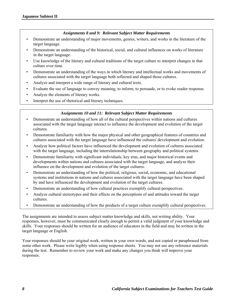#### *Assignments 8 and 9: Relevant Subject Matter Requirements*

- Demonstrate an understanding of major movements, genres, writers, and works in the literature of the target language.
- Demonstrate an understanding of the historical, social, and cultural influences on works of literature in the target language.
- Use knowledge of the literary and cultural traditions of the target culture to interpret changes in that culture over time.
- Demonstrate an understanding of the ways in which literary and intellectual works and movements of cultures associated with the target language both reflected and shaped those cultures.
- Analyze and interpret a wide range of literary and cultural texts.
- Evaluate the use of language to convey meaning, to inform, to persuade, or to evoke reader response.
- Analyze the elements of literary works.
- Interpret the use of rhetorical and literary techniques.

## *Assignments 10 and 11: Relevant Subject Matter Requirements*

- Demonstrate an understanding of how all of the cultural perspectives within nations and cultures associated with the target language interact to influence the development and evolution of the target cultures.
- Demonstrate familiarity with how the major physical and other geographical features of countries and cultures associated with the target language have influenced the cultures' development and evolution.
- Analyze how political factors have influenced the development and evolution of cultures associated with the target language, including the interrelationship between geography and political systems.
- Demonstrate familiarity with significant individuals, key eras, and major historical events and developments within nations and cultures associated with the target language, and analyze their influence on the development and evolution of the target cultures.
- Demonstrate an understanding of how the political, religious, social, economic, and educational systems and institutions in nations and cultures associated with the target language have been shaped by and have influenced the development and evolution of the target cultures.
- Demonstrate an understanding of how cultural practices exemplify cultural perspectives.
- Analyze cultural stereotypes and their effects on the perceptions of and attitudes toward the target cultures.
- Demonstrate an understanding of how the products of a target culture exemplify cultural perspectives.

The assignments are intended to assess subject matter knowledge and skills, not writing ability. Your responses, however, must be communicated clearly enough to permit a valid judgment of your knowledge and skills. Your responses should be written for an audience of educators in the field and may be written in the target language or English.

Your responses should be your original work, written in your own words, and not copied or paraphrased from some other work. Please write legibly when using response sheets. You may not use any reference materials during the test. Remember to review your work and make any changes you think will improve your responses.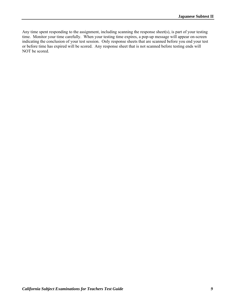Any time spent responding to the assignment, including scanning the response sheet(s), is part of your testing time. Monitor your time carefully. When your testing time expires, a pop-up message will appear on-screen indicating the conclusion of your test session. Only response sheets that are scanned before you end your test or before time has expired will be scored. Any response sheet that is not scanned before testing ends will NOT be scored.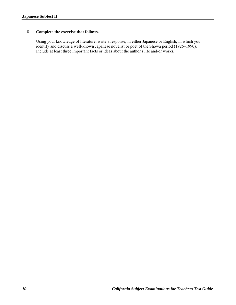## 8. **Complete the exercise that follows.**

Using your knowledge of literature, write a response, in either Japanese or English, in which you identify and discuss a well-known Japanese novelist or poet of the Shōwa period (1926–1990). Include at least three important facts or ideas about the author's life and/or works.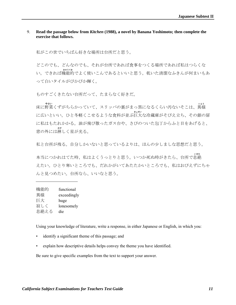### 9. **Read the passage below from** *Kitchen* **(1988), a novel by Banana Yoshimoto; then complete the exercise that follows.**

私がこの世でいちばん好きな場所は台所だと思う。

どこのでも、どんなのでも、それが台所であれば食事をつくる場所であれば私はつらくな 、 ●のま<del>。</del><br>い。できれば機能的でよく使いこんであるといいと思う。乾いた清潔なふきんが何まいもあ って白いタイルがぴかぴか輝く。

ものすごくきたない台所だって、たまらなく好きだ。

、 \*\*\*<br>床に野菜くずがちらかっていて、スリッパの裏がまっ黒になるくらい汚ないそこは、異様 、\*\*\*、<br>に広いといい。ひと冬軽くこせるような食料が並ぶ巨大な冷蔵庫がそびえ立ち、その銀の扉 に私はもたれかかる。油が飛び散ったガス台や、さびのついた包丁からふと目をあげると、 \*<sup>\*</sup><br>窓の外には淋しく星が光る。

私と台所が残る。自分しかいないと思っているよりは、ほんの少しましな思想だと思う。

\*\*\*<br>本当につかれはてた時、私はよくうっとりと思う。いつか死ぬ時がきたら、台所で息絶 えたい。ひとり寒いところでも、だれかがいてあたたかいところでも、私はおびえずにちゃ んと見つめたい。台所なら、いいなと思う。

| 機能的  | functional  |
|------|-------------|
| 異様   | exceedingly |
| 巨大   | huge        |
| 寂しく  | lonesomely  |
| 息絶える | die         |

Using your knowledge of literature, write a response, in either Japanese or English, in which you:

- identify a significant theme of this passage; and
- explain how descriptive details helps convey the theme you have identified.

Be sure to give specific examples from the text to support your answer.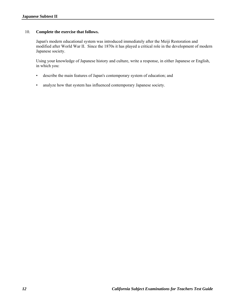## 10. **Complete the exercise that follows.**

Japan's modern educational system was introduced immediately after the Meiji Restoration and modified after World War II. Since the 1870s it has played a critical role in the development of modern Japanese society.

Using your knowledge of Japanese history and culture, write a response, in either Japanese or English, in which you:

- describe the main features of Japan's contemporary system of education; and
- analyze how that system has influenced contemporary Japanese society.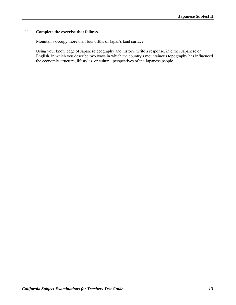## 11. **Complete the exercise that follows.**

Mountains occupy more than four-fifths of Japan's land surface.

Using your knowledge of Japanese geography and history, write a response, in either Japanese or English, in which you describe two ways in which the country's mountainous topography has influenced the economic structure, lifestyles, or cultural perspectives of the Japanese people.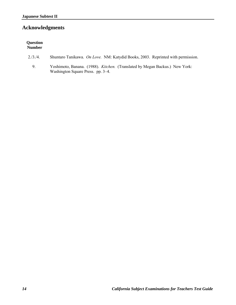# **Acknowledgments**

| <b>Question</b><br><b>Number</b> |                                                                                                                         |
|----------------------------------|-------------------------------------------------------------------------------------------------------------------------|
| 2/3/4                            | Shuntaro Tanikawa. On Love. NM: Katydid Books, 2003. Reprinted with permission.                                         |
| 9.                               | Yoshimoto, Banana. (1988). <i>Kitchen.</i> (Translated by Megan Backus.) New York:<br>Washington Square Press. pp. 3–4. |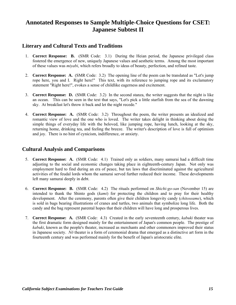## **Annotated Responses to Sample Multiple-Choice Questions for CSET: Japanese Subtest II**

## **Literary and Cultural Texts and Traditions**

- 1. **Correct Response: B.** (SMR Code: 3.1) During the Heian period, the Japanese privileged class fostered the emergence of new, uniquely Japanese values and aesthetic terms. Among the most important of these values was *miyabi*, which refers broadly to ideas of beauty, perfection, and refined taste.
- 2. **Correct Response: A.** (SMR Code: 3.2) The opening line of the poem can be translated as "Let's jump rope here, you and I. Right here!" This text, with its reference to jumping rope and its exclamatory statement "Right here!", evokes a sense of childlike eagerness and excitement.
- 3. **Correct Response: D.** (SMR Code: 3.2) In the second stanza, the writer suggests that the night is like an ocean. This can be seen in the text that says, "Let's pick a little starfish from the sea of the dawning sky. At breakfast let's throw it back and let the night recede."
- 4. **Correct Response: A.** (SMR Code: 3.2) Throughout the poem, the writer presents an idealized and romantic view of love and the one who is loved. The writer takes delight in thinking about doing the simple things of everyday life with the beloved, like jumping rope, having lunch, looking at the sky, returning home, drinking tea, and feeling the breeze. The writer's description of love is full of optimism and joy. There is no hint of cynicism, indifference, or anxiety.

## **Cultural Analysis and Comparisons**

- 5. **Correct Response: A.** (SMR Code: 4.1) Trained only as soldiers, many samurai had a difficult time adjusting to the social and economic changes taking place in eighteenth-century Japan. Not only was employment hard to find during an era of peace, but tax laws that discriminated against the agricultural activities of the feudal lords whom the samurai served further reduced their income. These developments left many samurai deeply in debt.
- 6. **Correct Response: B.** (SMR Code: 4.2) The rituals performed on *Shichi-go-san* (November 15) are intended to thank the Shinto gods (*kami*) for protecting the children and to pray for their healthy development. After the ceremony, parents often give their children longevity candy (*chitoseame*), which is sold in bags bearing illustrations of cranes and turtles, two animals that symbolize long life. Both the candy and the bag represent parental hopes that their children will have long and prosperous lives.
- 7. **Correct Response: A.** (SMR Code: 4.3) Created in the early seventeenth century, *kabuki* theater was the first dramatic form designed mainly for the entertainment of Japan's common people. The prestige of *kabuki*, known as the people's theater, increased as merchants and other commoners improved their status in Japanese society. *Nō* theater is a form of ceremonial drama that emerged as a distinctive art form in the fourteenth century and was performed mainly for the benefit of Japan's aristocratic elite.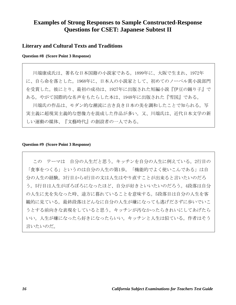## **Examples of Strong Responses to Sample Constructed-Response Questions for CSET: Japanese Subtest II**

## **Literary and Cultural Texts and Traditions**

**Question #8 (Score Point 3 Response)** 

川端康成氏は、著名な日本国籍の小説家である。1899年に、大阪で生まれ、1972年 に、自ら命を落とした。1968年に、日本人の小説家として、初めてのノーベル賞小説部門 を受賞した。彼にとり、最初の成功は、1927年に出版された短編小説『伊豆の踊り子』で ある。やがて国際的な名声をもたらした本は、1948年に出版された『雪国』である。

川端氏の作品は、モダン的な潮流に古き良き日本の美を調和したことで知られる。写 実主義に超現実主義的な想像力を混成した作品が多い。又、川端氏は、近代日本文学の新 しい運動の媒体、『文藝時代』の創設者の一人である。

#### **Question #9 (Score Point 3 Response)**

この テーマは 自分の人生だと思う。キッチンを自分の人生に例えている。2行目の 「食事をつくる」というのは自分の人生の第1歩。「機能的でよく使いこんである」は自 分の人生の経験。3行目から4行目の文は人生はやり直すことが出来ると言いたいのだろ う。5行目は人生がぼろぼろになったほど、自分が好きといいたいのだろう。4段落は自分 の人生に光を失なった時、途方に暮れていることを意味する。5段落目は自分の人生を客 観的に見ている。最終段落はどんなに自分の人生が嫌になっても逃げださずに歩いでいこ うとする前向きな表現をしていると思う。キッチンが汚なかったらきれいにしてあげたら いい。人生が嫌になったら好きになったらいい。キッチンと人生は似ている。作者はそう 言いたいのだ。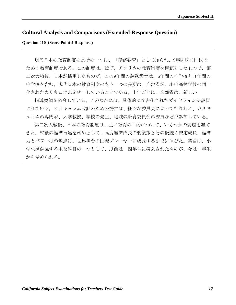## **Cultural Analysis and Comparisons (Extended-Response Question)**

#### **Question #10 (Score Point 4 Response)**

現代日本の教育制度の長所の一つは、「義務教育」として知られ、9年間続く国民の ための教育制度である。この制度は、ほぼ、アメリカの教育制度を模範としたもので、第 二次大戦後、日本が採用したものだ。この9年間の義務教育は、6年間の小学校と3年間の 中学校を含む。現代日本の教育制度のもう一つの長所は、文部省が、小中高等学校の画一 化されたカリキュラムを統一していることである。十年ごとに、文部省は、新しい

指導要領を発令している。このなかには、具体的に文書化されたガイドラインが設置 されている。カリキュラム改訂のための提言は、様々な委員会によって行なわれ、カリキ ュラムの専門家、大学教授、学校の先生、地域の教育委員会の委員などが参加している。

第二次大戦後、日本の教育制度は、主に教育の目的について、いくつかの変遷を経て きた。戦後の経済再建を始めとして、高度経済成長の刺激策とその後続く安定成長、経済 力とパワーはの焦点は、世界舞台の国際プレーヤーに成長するまでに伸びた。英語は、小 学生が勉強する主な科目の一つとして、以前は、四年生に導入されたものが、今は一年生 から始められる。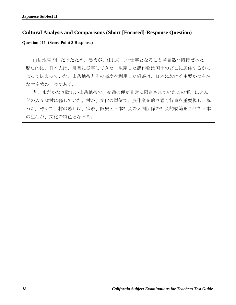## **Cultural Analysis and Comparisons (Short [Focused]-Response Question)**

**Question #11 (Score Point 3 Response)** 

山岳地帯の国だったため、農業が、住民の主な仕事となることが自然な慣行だった。 歴史的に、日本人は、農業に従事してきた。生産した農作物は国土のどこに居住するかに よって決まっていた。山岳地帯とその高度を利用した緑茶は、日本における主要かつ有名 な生産物の一つである。

昔、まだかなり険しい山岳地帯で、交通の便が非常に限定されていたこの頃、ほとん どの人々は村に暮していた。村が、文化の単位で、農作業を取り巻く行事を重要視し、祝 った。やがて、村の暮しは、宗教、医療と日本社会の人間関係の社会的規範を合せた日本 の生活が、文化の特色となった。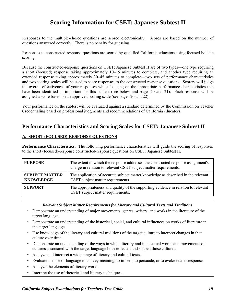# **Scoring Information for CSET: Japanese Subtest II**

Responses to the multiple-choice questions are scored electronically. Scores are based on the number of questions answered correctly. There is no penalty for guessing.

Responses to constructed-response questions are scored by qualified California educators using focused holistic scoring.

Because the constructed-response questions on CSET: Japanese Subtest II are of two types—one type requiring a short (focused) response taking approximately 10–15 minutes to complete, and another type requiring an extended response taking approximately 30–45 minutes to complete—two sets of performance characteristics and two scoring scales will be used to score responses to the constructed-response questions. Scorers will judge the overall effectiveness of your responses while focusing on the appropriate performance characteristics that have been identified as important for this subtest (see below and pages 20 and 21). Each response will be assigned a score based on an approved scoring scale (see pages 20 and 22).

Your performance on the subtest will be evaluated against a standard determined by the Commission on Teacher Credentialing based on professional judgments and recommendations of California educators.

## **Performance Characteristics and Scoring Scales for CSET: Japanese Subtest II**

## **A. SHORT (FOCUSED)-RESPONSE QUESTIONS**

**Performance Characteristics.** The following performance characteristics will guide the scoring of responses to the short (focused)-response constructed-response questions on CSET: Japanese Subtest II.

| <b>PURPOSE</b>                            | The extent to which the response addresses the constructed response assignment's<br>charge in relation to relevant CSET subject matter requirements. |
|-------------------------------------------|------------------------------------------------------------------------------------------------------------------------------------------------------|
| <b>SUBJECT MATTER</b><br><b>KNOWLEDGE</b> | The application of accurate subject matter knowledge as described in the relevant<br>CSET subject matter requirements.                               |
| <b>SUPPORT</b>                            | The appropriateness and quality of the supporting evidence in relation to relevant<br>CSET subject matter requirements.                              |

#### *Relevant Subject Matter Requirements for Literary and Cultural Texts and Traditions*

- Demonstrate an understanding of major movements, genres, writers, and works in the literature of the target language.
- Demonstrate an understanding of the historical, social, and cultural influences on works of literature in the target language.
- Use knowledge of the literary and cultural traditions of the target culture to interpret changes in that culture over time.
- Demonstrate an understanding of the ways in which literary and intellectual works and movements of cultures associated with the target language both reflected and shaped those cultures.
- Analyze and interpret a wide range of literary and cultural texts.
- Evaluate the use of language to convey meaning, to inform, to persuade, or to evoke reader response.
- Analyze the elements of literary works.
- Interpret the use of rhetorical and literary techniques.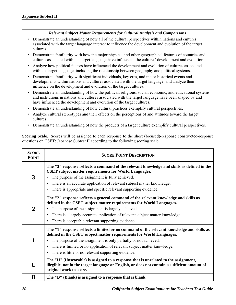## *Relevant Subject Matter Requirements for Cultural Analysis and Comparisons*

- Demonstrate an understanding of how all of the cultural perspectives within nations and cultures associated with the target language interact to influence the development and evolution of the target cultures.
- Demonstrate familiarity with how the major physical and other geographical features of countries and cultures associated with the target language have influenced the cultures' development and evolution.
- Analyze how political factors have influenced the development and evolution of cultures associated with the target language, including the relationship between geography and political systems.
- Demonstrate familiarity with significant individuals, key eras, and major historical events and developments within nations and cultures associated with the target language, and analyze their influence on the development and evolution of the target cultures.
- Demonstrate an understanding of how the political, religious, social, economic, and educational systems and institutions in nations and cultures associated with the target language have been shaped by and have influenced the development and evolution of the target cultures.
- Demonstrate an understanding of how cultural practices exemplify cultural perspectives.
- Analyze cultural stereotypes and their effects on the perceptions of and attitudes toward the target cultures.
- Demonstrate an understanding of how the products of a target culture exemplify cultural perspectives.

**Scoring Scale.** Scores will be assigned to each response to the short (focused)-response constructed-response questions on CSET: Japanese Subtest II according to the following scoring scale.

| <b>SCORE</b><br><b>POINT</b> | <b>SCORE POINT DESCRIPTION</b>                                                                                                                                                                                                                                                                                                                                               |
|------------------------------|------------------------------------------------------------------------------------------------------------------------------------------------------------------------------------------------------------------------------------------------------------------------------------------------------------------------------------------------------------------------------|
| 3                            | The "3" response reflects a command of the relevant knowledge and skills as defined in the<br><b>CSET</b> subject matter requirements for World Languages.<br>The purpose of the assignment is fully achieved.<br>There is an accurate application of relevant subject matter knowledge.<br>$\bullet$<br>There is appropriate and specific relevant supporting evidence.     |
| 2                            | The "2" response reflects a general command of the relevant knowledge and skills as<br>defined in the CSET subject matter requirements for World Languages.<br>The purpose of the assignment is largely achieved.<br>There is a largely accurate application of relevant subject matter knowledge.<br>$\bullet$<br>There is acceptable relevant supporting evidence.         |
| 1                            | The "1" response reflects a limited or no command of the relevant knowledge and skills as<br>defined in the CSET subject matter requirements for World Languages.<br>The purpose of the assignment is only partially or not achieved.<br>• There is limited or no application of relevant subject matter knowledge.<br>• There is little or no relevant supporting evidence. |
| U                            | The "U" (Unscorable) is assigned to a response that is unrelated to the assignment,<br>illegible, not in the target language or English, or does not contain a sufficient amount of<br>original work to score.                                                                                                                                                               |
| B                            | The "B" (Blank) is assigned to a response that is blank.                                                                                                                                                                                                                                                                                                                     |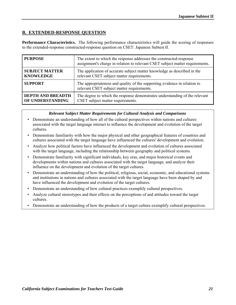## **B. EXTENDED-RESPONSE QUESTION**

**Performance Characteristics.** The following performance characteristics will guide the scoring of responses to the extended-response constructed-response question on CSET: Japanese Subtest II.

| <b>PURPOSE</b>           | The extent to which the response addresses the constructed-response<br>assignment's charge in relation to relevant CSET subject matter requirements. |
|--------------------------|------------------------------------------------------------------------------------------------------------------------------------------------------|
| <b>SUBJECT MATTER</b>    | The application of accurate subject matter knowledge as described in the                                                                             |
| <b>KNOWLEDGE</b>         | relevant CSET subject matter requirements.                                                                                                           |
| <b>SUPPORT</b>           | The appropriateness and quality of the supporting evidence in relation to<br>relevant CSET subject matter requirements.                              |
| <b>DEPTH AND BREADTH</b> | The degree to which the response demonstrates understanding of the relevant                                                                          |
| OF UNDERSTANDING         | CSET subject matter requirements.                                                                                                                    |

#### *Relevant Subject Matter Requirements for Cultural Analysis and Comparisons*

- Demonstrate an understanding of how all of the cultural perspectives within nations and cultures associated with the target language interact to influence the development and evolution of the target cultures.
- Demonstrate familiarity with how the major physical and other geographical features of countries and cultures associated with the target language have influenced the cultures' development and evolution.
- Analyze how political factors have influenced the development and evolution of cultures associated with the target language, including the relationship between geography and political systems.
- Demonstrate familiarity with significant individuals, key eras, and major historical events and developments within nations and cultures associated with the target language, and analyze their influence on the development and evolution of the target cultures.
- Demonstrate an understanding of how the political, religious, social, economic, and educational systems and institutions in nations and cultures associated with the target language have been shaped by and have influenced the development and evolution of the target cultures.
- Demonstrate an understanding of how cultural practices exemplify cultural perspectives.
- Analyze cultural stereotypes and their effects on the perceptions of and attitudes toward the target cultures.
- Demonstrate an understanding of how the products of a target culture exemplify cultural perspectives.